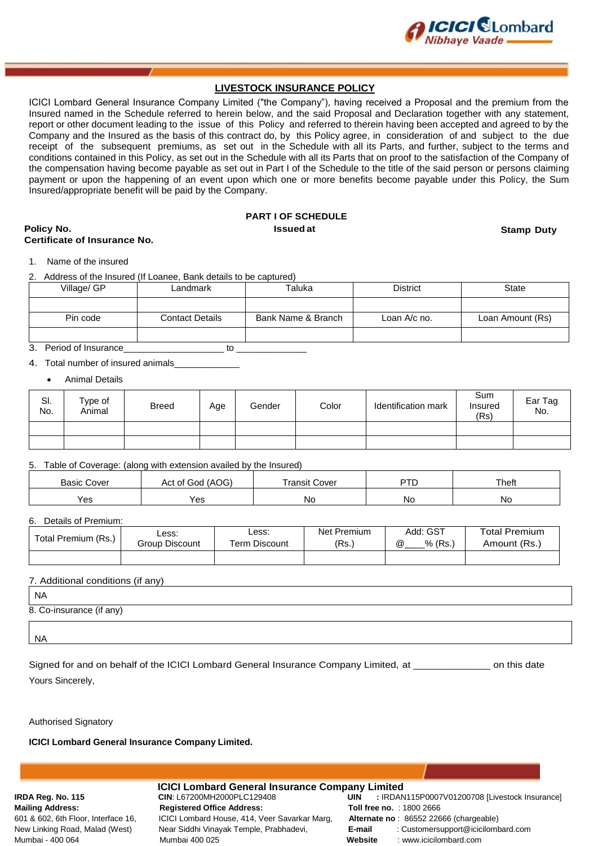

### **LIVESTOCK INSURANCE POLICY**

ICICI Lombard General Insurance Company Limited ("the Company"), having received a Proposal and the premium from the Insured named in the Schedule referred to herein below, and the said Proposal and Declaration together with any statement, report or other document leading to the issue of this Policy and referred to therein having been accepted and agreed to by the Company and the Insured as the basis of this contract do, by this Policy agree, in consideration of and subject to the due receipt of the subsequent premiums, as set out in the Schedule with all its Parts, and further, subject to the terms and conditions contained in this Policy, as set out in the Schedule with all its Parts that on proof to the satisfaction of the Company of the compensation having become payable as set out in Part I of the Schedule to the title of the said person or persons claiming payment or upon the happening of an event upon which one or more benefits become payable under this Policy, the Sum Insured/appropriate benefit will be paid by the Company.

### **PART I OF SCHEDULE Policy No. Issued at Stamp Duty**

### **Certificate of Insurance No.**

1. Name of the insured

2. Address of the Insured (If Loanee, Bank details to be captured)

| Village/ GP | Landmark               | Taluka             | <b>District</b> | State            |
|-------------|------------------------|--------------------|-----------------|------------------|
|             |                        |                    |                 |                  |
| Pin code    | <b>Contact Details</b> | Bank Name & Branch | Loan A/c no.    | Loan Amount (Rs) |
|             |                        |                    |                 |                  |

### 3. Period of Insurance\_\_\_\_\_\_\_\_\_\_\_\_\_\_\_\_\_\_\_\_ to \_\_\_\_\_\_\_\_\_\_\_\_\_\_

#### 4. Total number of insured animals

Animal Details

| SI.<br>No. | Type of<br>Animal | <b>Breed</b> | Age | Gender | Color | Identification mark | Sum<br>Insured<br>(Rs) | Ear Tag<br>No. |
|------------|-------------------|--------------|-----|--------|-------|---------------------|------------------------|----------------|
|            |                   |              |     |        |       |                     |                        |                |
|            |                   |              |     |        |       |                     |                        |                |

#### 5. Table of Coverage: (along with extension availed by the Insured)

| <b>Basic Cover</b> | Act of God (AOG) | Transit Cover | PTD | Theft |
|--------------------|------------------|---------------|-----|-------|
| Yes                | Yes              | Νo            | No  | Νo    |

#### 6. Details of Premium:

| Total Premium (Rs.) | Less:<br>Group Discount | Less:<br>Term Discount | <b>Net Premium</b><br>(Rs.) | Add: GST<br>% (Rs.,<br>$^{\textregistered}$ | <b>Total Premium</b><br>Amount (Rs.) |
|---------------------|-------------------------|------------------------|-----------------------------|---------------------------------------------|--------------------------------------|
|                     |                         |                        |                             |                                             |                                      |

#### 7. Additional conditions (if any)

NA

8. Co-insurance (if any)

NA

Signed for and on behalf of the ICICI Lombard General Insurance Company Limited, at \_\_\_\_\_\_\_\_\_\_\_\_\_\_ on this date Yours Sincerely,

Authorised Signatory

**ICICI Lombard General Insurance Company Limited.**

**IRDA Reg. No. 115 <b>CIN**: L67200MH2000PLC129408 **Mailing Address: The Registered Office Address:** Mumbai - 400 064 **Mumbai 400 025** 

601 & 602, 6th Floor, Interface 16, **ICICI Lombard House, 414, Veer Savarkar Marg**, New Linking Road, Malad (West) Near Siddhi Vinayak Temple, Prabhadevi,

| <b>ICICI Lombard General Insurance Company Limited</b> |         |                                                |  |  |
|--------------------------------------------------------|---------|------------------------------------------------|--|--|
| CIN: L67200MH2000PLC129408                             | UIN     | : IRDAN115P0007V01200708 [Livestock Insurance] |  |  |
| <b>Registered Office Address:</b>                      |         | <b>Toll free no.: 1800 2666</b>                |  |  |
| ICICI Lombard House, 414, Veer Savarkar Marg,          |         | Alternate no: 86552 22666 (chargeable)         |  |  |
| Near Siddhi Vinayak Temple, Prabhadevi,                | E-mail  | : Customersupport@icicilombard.com             |  |  |
| Mumbai 400 025                                         | Website | : www.icicilombard.com                         |  |  |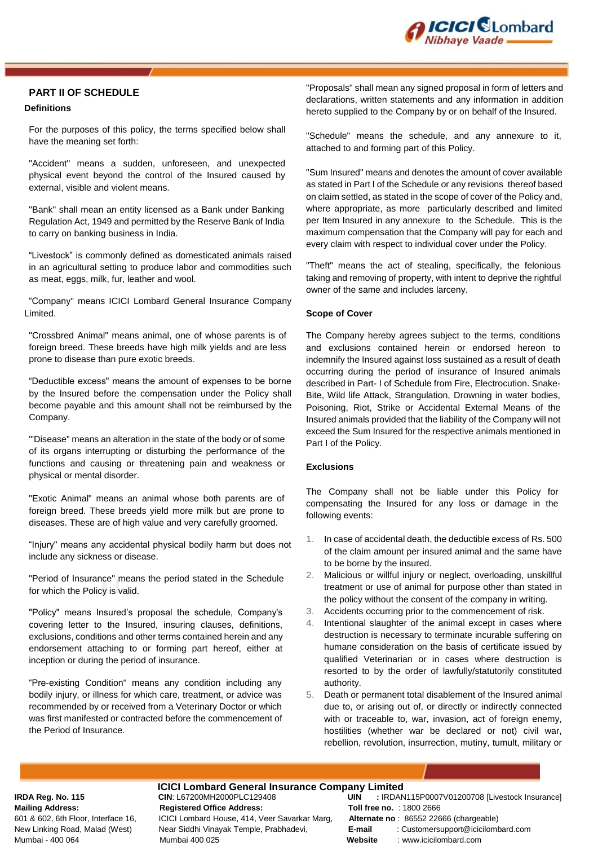

### **PART II OF SCHEDULE**

#### **Definitions**

For the purposes of this policy, the terms specified below shall have the meaning set forth:

"Accident" means a sudden, unforeseen, and unexpected physical event beyond the control of the Insured caused by external, visible and violent means.

"Bank" shall mean an entity licensed as a Bank under Banking Regulation Act, 1949 and permitted by the Reserve Bank of India to carry on banking business in India.

"Livestock" is commonly defined as domesticated animals raised in an agricultural setting to produce labor and commodities such as meat, eggs, milk, fur, leather and wool.

"Company" means ICICI Lombard General Insurance Company Limited.

"Crossbred Animal" means animal, one of whose parents is of foreign breed. These breeds have high milk yields and are less prone to disease than pure exotic breeds.

"Deductible excess" means the amount of expenses to be borne by the Insured before the compensation under the Policy shall become payable and this amount shall not be reimbursed by the Company.

"'Disease" means an alteration in the state of the body or of some of its organs interrupting or disturbing the performance of the functions and causing or threatening pain and weakness or physical or mental disorder.

"Exotic Animal" means an animal whose both parents are of foreign breed. These breeds yield more milk but are prone to diseases. These are of high value and very carefully groomed.

"Injury" means any accidental physical bodily harm but does not include any sickness or disease.

"Period of Insurance" means the period stated in the Schedule for which the Policy is valid.

"Policy" means Insured's proposal the schedule, Company's covering letter to the Insured, insuring clauses, definitions, exclusions, conditions and other terms contained herein and any endorsement attaching to or forming part hereof, either at inception or during the period of insurance.

"Pre-existing Condition" means any condition including any bodily injury, or illness for which care, treatment, or advice was recommended by or received from a Veterinary Doctor or which was first manifested or contracted before the commencement of the Period of Insurance.

"Proposals" shall mean any signed proposal in form of letters and declarations, written statements and any information in addition hereto supplied to the Company by or on behalf of the Insured.

"Schedule" means the schedule, and any annexure to it, attached to and forming part of this Policy.

"Sum Insured" means and denotes the amount of cover available as stated in Part I of the Schedule or any revisions thereof based on claim settled, as stated in the scope of cover of the Policy and, where appropriate, as more particularly described and limited per Item Insured in any annexure to the Schedule. This is the maximum compensation that the Company will pay for each and every claim with respect to individual cover under the Policy.

"Theft" means the act of stealing, specifically, the felonious taking and removing of property, with intent to deprive the rightful owner of the same and includes larceny.

#### **Scope of Cover**

The Company hereby agrees subject to the terms, conditions and exclusions contained herein or endorsed hereon to indemnify the Insured against loss sustained as a result of death occurring during the period of insurance of Insured animals described in Part- I of Schedule from Fire, Electrocution. Snake-Bite, Wild life Attack, Strangulation, Drowning in water bodies, Poisoning, Riot, Strike or Accidental External Means of the Insured animals provided that the liability of the Company will not exceed the Sum Insured for the respective animals mentioned in Part I of the Policy.

#### **Exclusions**

The Company shall not be liable under this Policy for compensating the Insured for any loss or damage in the following events:

- 1. In case of accidental death, the deductible excess of Rs. 500 of the claim amount per insured animal and the same have to be borne by the insured.
- 2. Malicious or willful injury or neglect, overloading, unskillful treatment or use of animal for purpose other than stated in the policy without the consent of the company in writing.
- 3. Accidents occurring prior to the commencement of risk.
- 4. Intentional slaughter of the animal except in cases where destruction is necessary to terminate incurable suffering on humane consideration on the basis of certificate issued by qualified Veterinarian or in cases where destruction is resorted to by the order of lawfully/statutorily constituted authority.
- 5. Death or permanent total disablement of the Insured animal due to, or arising out of, or directly or indirectly connected with or traceable to, war, invasion, act of foreign enemy, hostilities (whether war be declared or not) civil war, rebellion, revolution, insurrection, mutiny, tumult, military or

# **ICICI Lombard General Insurance Company Limited**<br>CIN: L67200MH2000PLC129408 **UIN** : IRDAN

**Mailing Address: Registered Office Address: Toll free no.** : 1800 2666 601 & 602, 6th Floor, Interface 16, ICICI Lombard House, 414, Veer Savarkar Marg, **Alternate no** : 86552 22666 (chargeable) Mumbai - 400 064 Mumbai 400 025 **Website** : www.icicilombard.com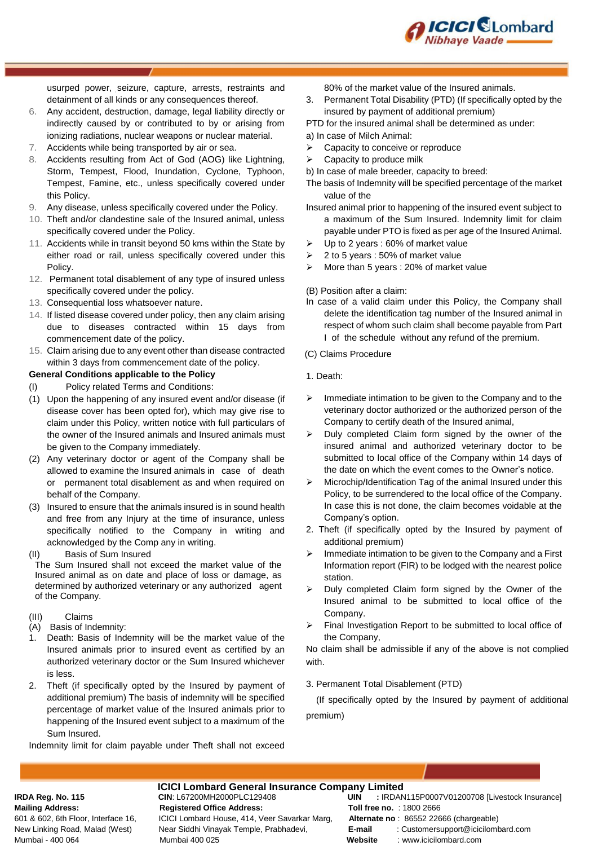

usurped power, seizure, capture, arrests, restraints and detainment of all kinds or any consequences thereof.

- 6. Any accident, destruction, damage, legal liability directly or indirectly caused by or contributed to by or arising from ionizing radiations, nuclear weapons or nuclear material.
- 7. Accidents while being transported by air or sea.
- 8. Accidents resulting from Act of God (AOG) like Lightning, Storm, Tempest, Flood, Inundation, Cyclone, Typhoon, Tempest, Famine, etc., unless specifically covered under this Policy.
- 9. Any disease, unless specifically covered under the Policy.
- 10. Theft and/or clandestine sale of the Insured animal, unless specifically covered under the Policy.
- 11. Accidents while in transit beyond 50 kms within the State by either road or rail, unless specifically covered under this Policy.
- 12. Permanent total disablement of any type of insured unless specifically covered under the policy.
- 13. Consequential loss whatsoever nature.
- 14. If listed disease covered under policy, then any claim arising due to diseases contracted within 15 days from commencement date of the policy.
- 15. Claim arising due to any event other than disease contracted within 3 days from commencement date of the policy.

#### **General Conditions applicable to the Policy**

- (I) Policy related Terms and Conditions:
- (1) Upon the happening of any insured event and/or disease (if disease cover has been opted for), which may give rise to claim under this Policy, written notice with full particulars of the owner of the Insured animals and Insured animals must be given to the Company immediately.
- (2) Any veterinary doctor or agent of the Company shall be allowed to examine the Insured animals in case of death or permanent total disablement as and when required on behalf of the Company.
- (3) Insured to ensure that the animals insured is in sound health and free from any Injury at the time of insurance, unless specifically notified to the Company in writing and acknowledged by the Comp any in writing.

(II) Basis of Sum Insured

The Sum Insured shall not exceed the market value of the Insured animal as on date and place of loss or damage, as determined by authorized veterinary or any authorized agent of the Company.

- (III) Claims
- (A) Basis of Indemnity:
- 1. Death: Basis of Indemnity will be the market value of the Insured animals prior to insured event as certified by an authorized veterinary doctor or the Sum Insured whichever is less.
- 2. Theft (if specifically opted by the Insured by payment of additional premium) The basis of indemnity will be specified percentage of market value of the Insured animals prior to happening of the Insured event subject to a maximum of the Sum Insured.

Indemnity limit for claim payable under Theft shall not exceed

80% of the market value of the Insured animals.

- 3. Permanent Total Disability (PTD) (If specifically opted by the insured by payment of additional premium)
- PTD for the insured animal shall be determined as under:
- a) In case of Milch Animal:
- $\triangleright$  Capacity to conceive or reproduce
- $\triangleright$  Capacity to produce milk
- b) In case of male breeder, capacity to breed:
- The basis of Indemnity will be specified percentage of the market value of the
- Insured animal prior to happening of the insured event subject to a maximum of the Sum Insured. Indemnity limit for claim payable under PTO is fixed as per age of the Insured Animal.
- $\triangleright$  Up to 2 years : 60% of market value
- $\geq 2$  to 5 years : 50% of market value
- $\triangleright$  More than 5 years : 20% of market value
- (B) Position after a claim:
- In case of a valid claim under this Policy, the Company shall delete the identification tag number of the Insured animal in respect of whom such claim shall become payable from Part I of the schedule without any refund of the premium.
- (C) Claims Procedure
- 1. Death:
- $\triangleright$  Immediate intimation to be given to the Company and to the veterinary doctor authorized or the authorized person of the Company to certify death of the Insured animal,
- Duly completed Claim form signed by the owner of the insured animal and authorized veterinary doctor to be submitted to local office of the Company within 14 days of the date on which the event comes to the Owner's notice.
- $\triangleright$  Microchip/Identification Tag of the animal Insured under this Policy, to be surrendered to the local office of the Company. In case this is not done, the claim becomes voidable at the Company's option.
- 2. Theft (if specifically opted by the Insured by payment of additional premium)
- $\triangleright$  Immediate intimation to be given to the Company and a First Information report (FIR) to be lodged with the nearest police station.
- $\triangleright$  Duly completed Claim form signed by the Owner of the Insured animal to be submitted to local office of the Company.
- $\triangleright$  Final Investigation Report to be submitted to local office of the Company,

No claim shall be admissible if any of the above is not complied with.

3. Permanent Total Disablement (PTD)

 (If specifically opted by the Insured by payment of additional premium)

**ICICI Lombard General Insurance Company Limited**<br>CIN: L67200MH2000PLC129408 **UIN** : IRDAN **Mailing Address: Registered Office Address: Toll free no.** : 1800 2666 601 & 602, 6th Floor, Interface 16, ICICI Lombard House, 414, Veer Savarkar Marg, **Alternate no** : 86552 22666 (chargeable) Mumbai - 400 064 Mumbai 400 025 **Website** : www.icicilombard.com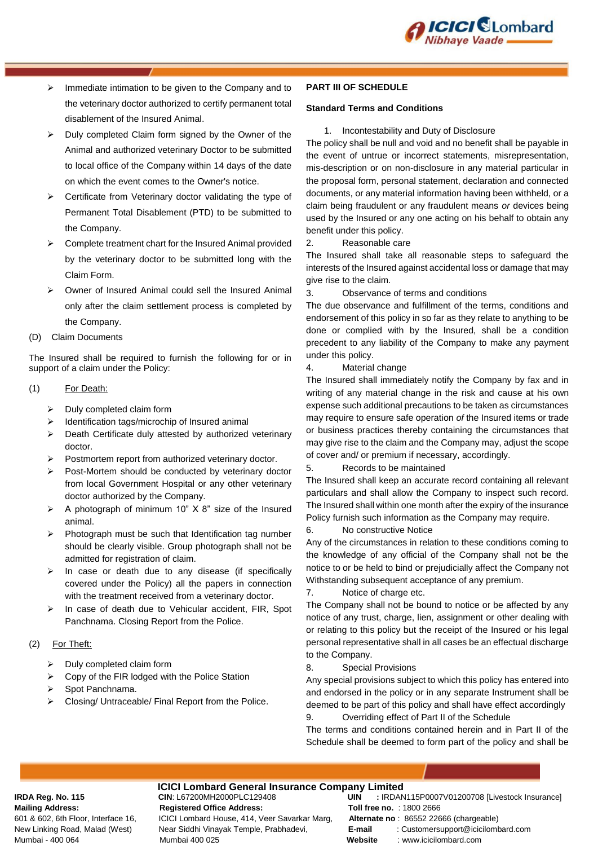

- $\triangleright$  Immediate intimation to be given to the Company and to the veterinary doctor authorized to certify permanent total disablement of the Insured Animal.
- Duly completed Claim form signed by the Owner of the Animal and authorized veterinary Doctor to be submitted to local office of the Company within 14 days of the date on which the event comes to the Owner's notice.
- Certificate from Veterinary doctor validating the type of Permanent Total Disablement (PTD) to be submitted to the Company.
- $\triangleright$  Complete treatment chart for the Insured Animal provided by the veterinary doctor to be submitted long with the Claim Form.
- Owner of Insured Animal could sell the Insured Animal only after the claim settlement process is completed by the Company.
- (D) Claim Documents

The Insured shall be required to furnish the following for or in support of a claim under the Policy:

- (1) For Death:
	- $\triangleright$  Duly completed claim form
	- $\triangleright$  Identification tags/microchip of Insured animal
	- $\triangleright$  Death Certificate duly attested by authorized veterinary doctor.
	- $\triangleright$  Postmortem report from authorized veterinary doctor.
	- $\triangleright$  Post-Mortem should be conducted by veterinary doctor from local Government Hospital or any other veterinary doctor authorized by the Company.
	- $\triangleright$  A photograph of minimum 10" X 8" size of the Insured animal.
	- $\triangleright$  Photograph must be such that Identification tag number should be clearly visible. Group photograph shall not be admitted for registration of claim.
	- $\triangleright$  In case or death due to any disease (if specifically covered under the Policy) all the papers in connection with the treatment received from a veterinary doctor.
	- $\triangleright$  In case of death due to Vehicular accident, FIR, Spot Panchnama. Closing Report from the Police.

### (2) For Theft:

- $\triangleright$  Duly completed claim form
- $\triangleright$  Copy of the FIR lodged with the Police Station
- > Spot Panchnama.
- $\triangleright$  Closing/ Untraceable/ Final Report from the Police.

#### **PART III OF SCHEDULE**

#### **Standard Terms and Conditions**

1. Incontestability and Duty of Disclosure

The policy shall be null and void and no benefit shall be payable in the event of untrue or incorrect statements, misrepresentation, mis-description or on non-disclosure in any material particular in the proposal form, personal statement, declaration and connected documents, or any material information having been withheld, or a claim being fraudulent or any fraudulent means *or* devices being used by the Insured or any one acting on his behalf to obtain any benefit under this policy.

2. Reasonable care

The Insured shall take all reasonable steps to safeguard the interests of the Insured against accidental loss or damage that may give rise to the claim.

3. Observance of terms and conditions

The due observance and fulfillment of the terms, conditions and endorsement of this policy in so far as they relate to anything to be done or complied with by the Insured, shall be a condition precedent to any liability of the Company to make any payment under this policy.

4. Material change

The Insured shall immediately notify the Company by fax and in writing of any material change in the risk and cause at his own expense such additional precautions to be taken as circumstances may require to ensure safe operation *of* the Insured items or trade or business practices thereby containing the circumstances that may give rise to the claim and the Company may, adjust the scope of cover and/ or premium if necessary, accordingly.

#### 5. Records to be maintained

The Insured shall keep an accurate record containing all relevant particulars and shall allow the Company to inspect such record. The Insured shall within one month after the expiry of the insurance Policy furnish such information as the Company may require.

#### 6. No constructive Notice

Any of the circumstances in relation to these conditions coming to the knowledge of any official of the Company shall not be the notice to or be held to bind or prejudicially affect the Company not Withstanding subsequent acceptance of any premium.

#### 7. Notice of charge etc.

The Company shall not be bound to notice or be affected by any notice of any trust, charge, lien, assignment or other dealing with or relating to this policy but the receipt of the Insured or his legal personal representative shall in all cases be an effectual discharge to the Company.

#### 8. Special Provisions

Any special provisions subject to which this policy has entered into and endorsed in the policy or in any separate Instrument shall be deemed to be part of this policy and shall have effect accordingly 9. Overriding effect of Part II of the Schedule

The terms and conditions contained herein and in Part II of the Schedule shall be deemed to form part of the policy and shall be

## **ICICI Lombard General Insurance Company Limited**<br>CIN: L67200MH2000PLC129408 **UIN** : IRDAN **Mailing Address: Registered Office Address: Toll free no.** : 1800 2666

601 & 602, 6th Floor, Interface 16, ICICI Lombard House, 414, Veer Savarkar Marg, **Alternate no** : 86552 22666 (chargeable) Mumbai - 400 064 Mumbai 400 025 **Website** : www.icicilombard.com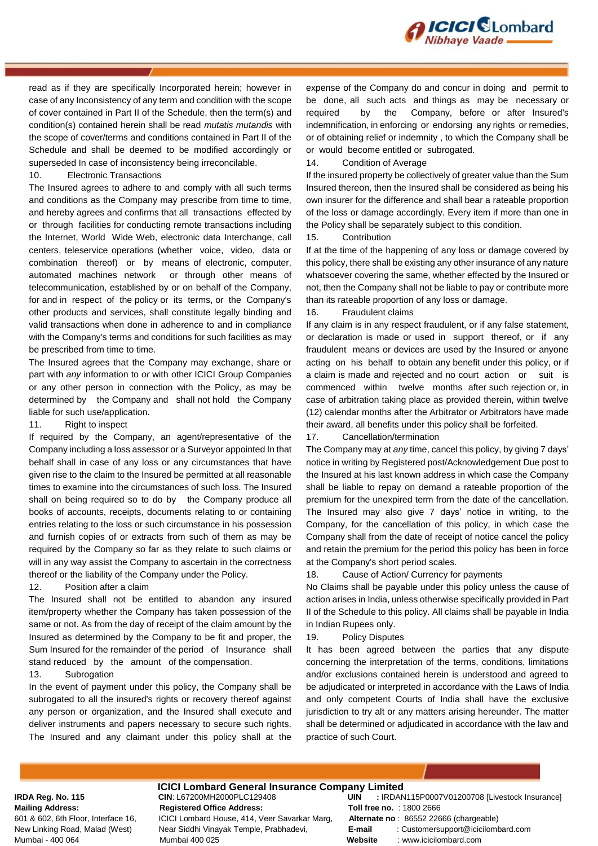

read as if they are specifically Incorporated herein; however in case of any Inconsistency of any term and condition with the scope of cover contained in Part II of the Schedule, then the term(s) and condition(s) contained herein shall be read *mutatis mutandis* with the scope of cover/terms and conditions contained in Part II of the Schedule and shall be deemed to be modified accordingly or superseded In case of inconsistency being irreconcilable.

#### 10. Electronic Transactions

The Insured agrees to adhere to and comply with all such terms and conditions as the Company may prescribe from time to time, and hereby agrees and confirms that all transactions effected by or through facilities for conducting remote transactions including the Internet, World Wide Web, electronic data Interchange, call centers, teleservice operations (whether voice, video, data or combination thereof) or by means of electronic, computer, automated machines network or through other means of telecommunication, established by or on behalf of the Company, for and in respect of the policy or its terms, or the Company's other products and services, shall constitute legally binding and valid transactions when done in adherence to and in compliance with the Company's terms and conditions for such facilities as may be prescribed from time to time.

The Insured agrees that the Company may exchange, share or part with *any* information to *or* with other ICICI Group Companies or any other person in connection with the Policy, as may be determined by the Company and shall not hold the Company liable for such use/application.

#### 11. Right to inspect

If required by the Company, an agent/representative of the Company including a loss assessor or a Surveyor appointed In that behalf shall in case of any loss or any circumstances that have given rise to the claim to the Insured be permitted at all reasonable times to examine into the circumstances of such loss. The Insured shall on being required so to do by the Company produce all books of accounts, receipts, documents relating to or containing entries relating to the loss or such circumstance in his possession and furnish copies of or extracts from such of them as may be required by the Company so far as they relate to such claims or will in any way assist the Company to ascertain in the correctness thereof or the liability of the Company under the Policy.

#### 12. Position after a claim

The Insured shall not be entitled to abandon any insured item/property whether the Company has taken possession of the same or not. As from the day of receipt of the claim amount by the Insured as determined by the Company to be fit and proper, the Sum Insured for the remainder of the period of Insurance shall stand reduced by the amount of the compensation.

#### 13. Subrogation

In the event of payment under this policy, the Company shall be subrogated to all the insured's rights or recovery thereof against any person or organization, and the Insured shall execute and deliver instruments and papers necessary to secure such rights. The Insured and any claimant under this policy shall at the

expense of the Company do and concur in doing and permit to be done, all such acts and things as may be necessary or required by the Company, before or after Insured's indemnification, in enforcing or endorsing any rights or remedies, or of obtaining relief or indemnity , to which the Company shall be or would become entitled or subrogated.

#### 14. Condition of Average

If the insured property be collectively of greater value than the Sum Insured thereon, then the Insured shall be considered as being his own insurer for the difference and shall bear a rateable proportion of the loss or damage accordingly. Every item if more than one in the Policy shall be separately subject to this condition.

15. Contribution

If at the time of the happening of any loss or damage covered by this policy, there shall be existing any other insurance of any nature whatsoever covering the same, whether effected by the Insured or not, then the Company shall not be liable to pay or contribute more than its rateable proportion of any loss or damage.

#### 16. Fraudulent claims

If any claim is in any respect fraudulent, or if any false statement, or declaration is made or used in support thereof, or if any fraudulent means or devices are used by the Insured or anyone acting on his behalf to obtain any benefit under this policy, or if a claim is made and rejected and no court action or suit is commenced within twelve months after such rejection or, in case of arbitration taking place as provided therein, within twelve (12) calendar months after the Arbitrator or Arbitrators have made their award, all benefits under this policy shall be forfeited.

#### 17. Cancellation/termination

The Company may at *any* time, cancel this policy, by giving 7 days' notice in writing by Registered post/Acknowledgement Due post to the Insured at his last known address in which case the Company shall be liable to repay on demand a rateable proportion of the premium for the unexpired term from the date of the cancellation. The Insured may also give 7 days' notice in writing, to the Company, for the cancellation of this policy, in which case the Company shall from the date of receipt of notice cancel the policy and retain the premium for the period this policy has been in force at the Company's short period scales.

18. Cause of Action/ Currency for payments

No Claims shall be payable under this policy unless the cause of action arises in India, unless otherwise specifically provided in Part II of the Schedule to this policy. All claims shall be payable in India in Indian Rupees only.

#### 19. Policy Disputes

It has been agreed between the parties that any dispute concerning the interpretation of the terms, conditions, limitations and/or exclusions contained herein is understood and agreed to be adjudicated or interpreted in accordance with the Laws of India and only competent Courts of India shall have the exclusive jurisdiction to try alt or any matters arising hereunder. The matter shall be determined or adjudicated in accordance with the law and practice of such Court.

# **ICICI Lombard General Insurance Company Limited**<br>CIN: L67200MH2000PLC129408 **UIN** : IRDAN

**Mailing Address: Registered Office Address: Toll free no.** : 1800 2666 601 & 602, 6th Floor, Interface 16, ICICI Lombard House, 414, Veer Savarkar Marg, **Alternate no** : 86552 22666 (chargeable) Mumbai - 400 064 Mumbai 400 025 **Website** : www.icicilombard.com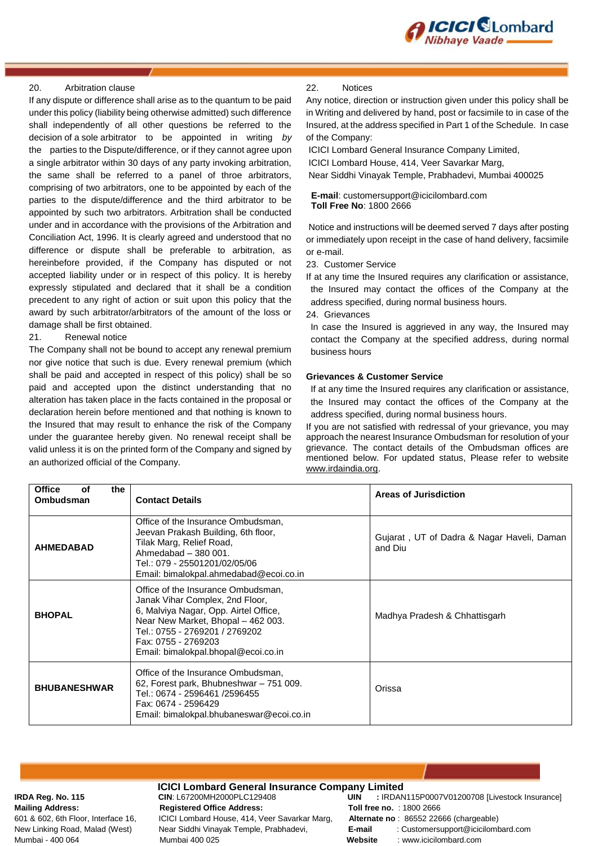

#### 20. Arbitration clause

If any dispute or difference shall arise as to the quantum to be paid under this policy (liability being otherwise admitted) such difference shall independently of all other questions be referred to the decision of a sole arbitrator to be appointed in writing *by*  the parties to the Dispute/difference, or if they cannot agree upon a single arbitrator within 30 days of any party invoking arbitration, the same shall be referred to a panel of throe arbitrators, comprising of two arbitrators, one to be appointed by each of the parties to the dispute/difference and the third arbitrator to be appointed by such two arbitrators. Arbitration shall be conducted under and in accordance with the provisions of the Arbitration and Conciliation Act, 1996. It is clearly agreed and understood that no difference or dispute shall be preferable to arbitration, as hereinbefore provided, if the Company has disputed or not accepted liability under or in respect of this policy. It is hereby expressly stipulated and declared that it shall be a condition precedent to any right of action or suit upon this policy that the award by such arbitrator/arbitrators of the amount of the loss or damage shall be first obtained.

#### 21. Renewal notice

The Company shall not be bound to accept any renewal premium nor give notice that such is due. Every renewal premium (which shall be paid and accepted in respect of this policy) shall be so paid and accepted upon the distinct understanding that no alteration has taken place in the facts contained in the proposal or declaration herein before mentioned and that nothing is known to the Insured that may result to enhance the risk of the Company under the guarantee hereby given. No renewal receipt shall be valid unless it is on the printed form of the Company and signed by an authorized official of the Company.

#### 22. Notices

Any notice, direction or instruction given under this policy shall be in Writing and delivered by hand, post or facsimile to in case of the Insured, at the address specified in Part 1 of the Schedule. In case of the Company:

ICICI Lombard General Insurance Company Limited,

ICICI Lombard House, 414, Veer Savarkar Marg,

Near Siddhi Vinayak Temple, Prabhadevi, Mumbai 400025

 **E-mail**: customersupport@icicilombard.com  **Toll Free No**: 1800 2666

Notice and instructions will be deemed served 7 days after posting or immediately upon receipt in the case of hand delivery, facsimile or e-mail.

23. Customer Service

If at any time the Insured requires any clarification or assistance, the Insured may contact the offices of the Company at the address specified, during normal business hours.

24. Grievances

In case the Insured is aggrieved in any way, the Insured may contact the Company at the specified address, during normal business hours

#### **Grievances & Customer Service**

If at any time the Insured requires any clarification or assistance, the Insured may contact the offices of the Company at the address specified, during normal business hours.

If you are not satisfied with redressal of your grievance, you may approach the nearest Insurance Ombudsman for resolution of your grievance. The contact details of the Ombudsman offices are mentioned below. For updated status, Please refer to website [www.irdaindia.org.](http://www.irdaindia.org/)

| <b>Office</b><br>the<br>οf<br><b>Ombudsman</b> | <b>Contact Details</b>                                                                                                                                                                                                                               | Areas of Jurisdiction                                 |
|------------------------------------------------|------------------------------------------------------------------------------------------------------------------------------------------------------------------------------------------------------------------------------------------------------|-------------------------------------------------------|
| <b>AHMEDABAD</b>                               | Office of the Insurance Ombudsman,<br>Jeevan Prakash Building, 6th floor,<br>Tilak Marg, Relief Road,<br>Ahmedabad - 380 001.<br>Tel.: 079 - 25501201/02/05/06<br>Email: bimalokpal.ahmedabad@ecoi.co.in                                             | Gujarat, UT of Dadra & Nagar Haveli, Daman<br>and Diu |
| <b>BHOPAL</b>                                  | Office of the Insurance Ombudsman,<br>Janak Vihar Complex, 2nd Floor,<br>6, Malviya Nagar, Opp. Airtel Office,<br>Near New Market, Bhopal - 462 003.<br>Tel.: 0755 - 2769201 / 2769202<br>Fax: 0755 - 2769203<br>Email: bimalokpal.bhopal@ecoi.co.in | Madhya Pradesh & Chhattisgarh                         |
| <b>BHUBANESHWAR</b>                            | Office of the Insurance Ombudsman,<br>62, Forest park, Bhubneshwar - 751 009.<br>Tel.: 0674 - 2596461 /2596455<br>Fax: 0674 - 2596429<br>Email: bimalokpal.bhubaneswar@ecoi.co.in                                                                    | Orissa                                                |

**ICICI Lombard General Insurance Company Limited**<br>CIN: L67200MH2000PLC129408 **UIN** : IRDAN **Mailing Address: Registered Office Address: Toll free no.** : 1800 2666 601 & 602, 6th Floor, Interface 16, ICICI Lombard House, 414, Veer Savarkar Marg, **Alternate no** : 86552 22666 (chargeable) Mumbai - 400 064 Mumbai 400 025 **Website** : www.icicilombard.com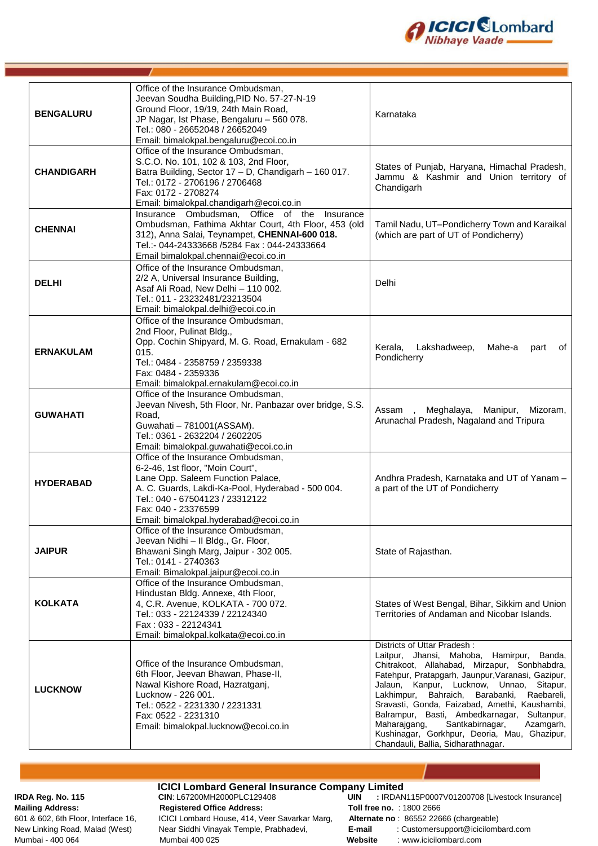

| <b>BENGALURU</b>  | Office of the Insurance Ombudsman,<br>Jeevan Soudha Building, PID No. 57-27-N-19<br>Ground Floor, 19/19, 24th Main Road,<br>JP Nagar, Ist Phase, Bengaluru - 560 078.<br>Tel.: 080 - 26652048 / 26652049<br>Email: bimalokpal.bengaluru@ecoi.co.in                   | Karnataka                                                                                                                                                                                                                                                                                                                                                                                                                                                                                                                    |
|-------------------|----------------------------------------------------------------------------------------------------------------------------------------------------------------------------------------------------------------------------------------------------------------------|------------------------------------------------------------------------------------------------------------------------------------------------------------------------------------------------------------------------------------------------------------------------------------------------------------------------------------------------------------------------------------------------------------------------------------------------------------------------------------------------------------------------------|
| <b>CHANDIGARH</b> | Office of the Insurance Ombudsman,<br>S.C.O. No. 101, 102 & 103, 2nd Floor,<br>Batra Building, Sector 17 - D, Chandigarh - 160 017.<br>Tel.: 0172 - 2706196 / 2706468<br>Fax: 0172 - 2708274<br>Email: bimalokpal.chandigarh@ecoi.co.in                              | States of Punjab, Haryana, Himachal Pradesh,<br>Jammu & Kashmir and Union territory of<br>Chandigarh                                                                                                                                                                                                                                                                                                                                                                                                                         |
| <b>CHENNAI</b>    | Insurance Ombudsman, Office of the Insurance<br>Ombudsman, Fathima Akhtar Court, 4th Floor, 453 (old<br>312), Anna Salai, Teynampet, CHENNAI-600 018.<br>Tel.:- 044-24333668 /5284 Fax: 044-24333664<br>Email bimalokpal.chennai@ecoi.co.in                          | Tamil Nadu, UT-Pondicherry Town and Karaikal<br>(which are part of UT of Pondicherry)                                                                                                                                                                                                                                                                                                                                                                                                                                        |
| <b>DELHI</b>      | Office of the Insurance Ombudsman,<br>2/2 A, Universal Insurance Building,<br>Asaf Ali Road, New Delhi - 110 002.<br>Tel.: 011 - 23232481/23213504<br>Email: bimalokpal.delhi@ecoi.co.in                                                                             | Delhi                                                                                                                                                                                                                                                                                                                                                                                                                                                                                                                        |
| <b>ERNAKULAM</b>  | Office of the Insurance Ombudsman,<br>2nd Floor, Pulinat Bldg.,<br>Opp. Cochin Shipyard, M. G. Road, Ernakulam - 682<br>015.<br>Tel.: 0484 - 2358759 / 2359338<br>Fax: 0484 - 2359336<br>Email: bimalokpal.ernakulam@ecoi.co.in                                      | Kerala,<br>Lakshadweep,<br>Mahe-a<br>of<br>part<br>Pondicherry                                                                                                                                                                                                                                                                                                                                                                                                                                                               |
| <b>GUWAHATI</b>   | Office of the Insurance Ombudsman,<br>Jeevan Nivesh, 5th Floor, Nr. Panbazar over bridge, S.S.<br>Road.<br>Guwahati - 781001 (ASSAM).<br>Tel.: 0361 - 2632204 / 2602205<br>Email: bimalokpal.guwahati@ecoi.co.in                                                     | Meghalaya, Manipur, Mizoram,<br>Assam<br>$\sim$<br>Arunachal Pradesh, Nagaland and Tripura                                                                                                                                                                                                                                                                                                                                                                                                                                   |
| <b>HYDERABAD</b>  | Office of the Insurance Ombudsman,<br>6-2-46, 1st floor, "Moin Court",<br>Lane Opp. Saleem Function Palace,<br>A. C. Guards, Lakdi-Ka-Pool, Hyderabad - 500 004.<br>Tel.: 040 - 67504123 / 23312122<br>Fax: 040 - 23376599<br>Email: bimalokpal.hyderabad@ecoi.co.in | Andhra Pradesh, Karnataka and UT of Yanam -<br>a part of the UT of Pondicherry                                                                                                                                                                                                                                                                                                                                                                                                                                               |
| <b>JAIPUR</b>     | Office of the Insurance Ombudsman,<br>Jeevan Nidhi - Il Bldg., Gr. Floor,<br>Bhawani Singh Marg, Jaipur - 302 005.<br>Tel.: 0141 - 2740363<br>Email: Bimalokpal.jaipur@ecoi.co.in                                                                                    | State of Rajasthan.                                                                                                                                                                                                                                                                                                                                                                                                                                                                                                          |
| <b>KOLKATA</b>    | Office of the Insurance Ombudsman,<br>Hindustan Bldg. Annexe, 4th Floor,<br>4, C.R. Avenue, KOLKATA - 700 072.<br>Tel.: 033 - 22124339 / 22124340<br>Fax: 033 - 22124341<br>Email: bimalokpal.kolkata@ecoi.co.in                                                     | States of West Bengal, Bihar, Sikkim and Union<br>Territories of Andaman and Nicobar Islands.                                                                                                                                                                                                                                                                                                                                                                                                                                |
| <b>LUCKNOW</b>    | Office of the Insurance Ombudsman,<br>6th Floor, Jeevan Bhawan, Phase-II,<br>Nawal Kishore Road, Hazratganj,<br>Lucknow - 226 001.<br>Tel.: 0522 - 2231330 / 2231331<br>Fax: 0522 - 2231310<br>Email: bimalokpal.lucknow@ecoi.co.in                                  | Districts of Uttar Pradesh:<br>Laitpur, Jhansi, Mahoba,<br>Hamirpur, Banda,<br>Chitrakoot, Allahabad, Mirzapur, Sonbhabdra,<br>Fatehpur, Pratapgarh, Jaunpur, Varanasi, Gazipur,<br>Jalaun, Kanpur, Lucknow, Unnao, Sitapur,<br>Lakhimpur,<br>Bahraich,<br>Barabanki,<br>Raebareli,<br>Sravasti, Gonda, Faizabad, Amethi, Kaushambi,<br>Balrampur, Basti, Ambedkarnagar,<br>Sultanpur,<br>Maharajgang,<br>Santkabirnagar,<br>Azamgarh,<br>Kushinagar, Gorkhpur, Deoria, Mau, Ghazipur,<br>Chandauli, Ballia, Sidharathnagar. |

**ICICI Lombard General Insurance Company Limited** Mailing Address:<br> **Registered Office Address:** Toll free no. : 1800 2666<br>
601 & 602, 6th Floor, Interface 16, ICICI Lombard House, 414, Veer Savarkar Marg, Alternate no: 86552 22666 (chargeable) ICICI Lombard House, 414, Veer Savarkar Marg, Mumbai - 400 064 Mumbai 400 025 **Website** : www.icicilombard.com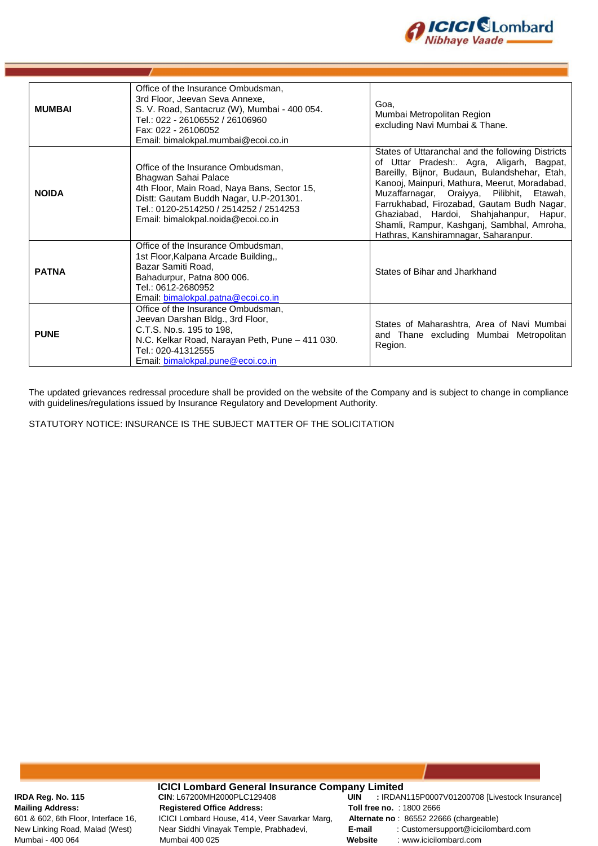

| <b>MUMBAI</b> | Office of the Insurance Ombudsman,<br>3rd Floor, Jeevan Seva Annexe,<br>S. V. Road, Santacruz (W), Mumbai - 400 054.<br>Tel.: 022 - 26106552 / 26106960<br>Fax: 022 - 26106052<br>Email: bimalokpal.mumbai@ecoi.co.in               | Goa,<br>Mumbai Metropolitan Region<br>excluding Navi Mumbai & Thane.                                                                                                                                                                                                                                                                                                                                                         |
|---------------|-------------------------------------------------------------------------------------------------------------------------------------------------------------------------------------------------------------------------------------|------------------------------------------------------------------------------------------------------------------------------------------------------------------------------------------------------------------------------------------------------------------------------------------------------------------------------------------------------------------------------------------------------------------------------|
| <b>NOIDA</b>  | Office of the Insurance Ombudsman,<br>Bhagwan Sahai Palace<br>4th Floor, Main Road, Naya Bans, Sector 15,<br>Distt: Gautam Buddh Nagar, U.P-201301.<br>Tel.: 0120-2514250 / 2514252 / 2514253<br>Email: bimalokpal.noida@ecoi.co.in | States of Uttaranchal and the following Districts<br>of Uttar Pradesh:. Agra, Aligarh, Bagpat,<br>Bareilly, Bijnor, Budaun, Bulandshehar, Etah,<br>Kanooj, Mainpuri, Mathura, Meerut, Moradabad,<br>Muzaffarnagar, Oraiyya, Pilibhit, Etawah,<br>Farrukhabad, Firozabad, Gautam Budh Nagar,<br>Ghaziabad, Hardoi, Shahjahanpur, Hapur,<br>Shamli, Rampur, Kashganj, Sambhal, Amroha,<br>Hathras, Kanshiramnagar, Saharanpur. |
| <b>PATNA</b>  | Office of the Insurance Ombudsman,<br>1st Floor, Kalpana Arcade Building,,<br>Bazar Samiti Road,<br>Bahadurpur, Patna 800 006.<br>Tel.: 0612-2680952<br>Email: bimalokpal.patna@ecoi.co.in                                          | States of Bihar and Jharkhand                                                                                                                                                                                                                                                                                                                                                                                                |
| <b>PUNE</b>   | Office of the Insurance Ombudsman,<br>Jeevan Darshan Bldg., 3rd Floor,<br>C.T.S. No.s. 195 to 198,<br>N.C. Kelkar Road, Narayan Peth, Pune - 411 030.<br>Tel.: 020-41312555<br>Email: bimalokpal.pune@ecoi.co.in                    | States of Maharashtra, Area of Navi Mumbai<br>and Thane excluding Mumbai Metropolitan<br>Region.                                                                                                                                                                                                                                                                                                                             |

The updated grievances redressal procedure shall be provided on the website of the Company and is subject to change in compliance with guidelines/regulations issued by Insurance Regulatory and Development Authority.

STATUTORY NOTICE: INSURANCE IS THE SUBJECT MATTER OF THE SOLICITATION

**ICICI Lombard General Insurance Company Limited**<br>CIN: L67200MH2000PLC129408 **UIN** : IRDAN **Mailing Address: Registered Office Address: Toll free no.** : 1800 2666 601 & 602, 6th Floor, Interface 16, ICICI Lombard House, 414, Veer Savarkar Marg, **Alternate no** : 86552 22666 (chargeable) Mumbai - 400 064 Mumbai 400 025 **Website** : www.icicilombard.com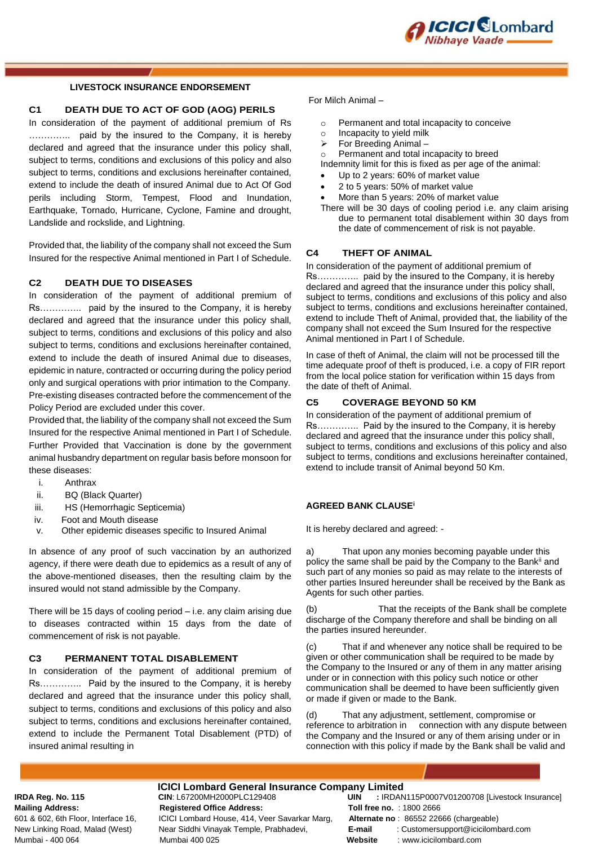

#### **LIVESTOCK INSURANCE ENDORSEMENT**

#### **C1 DEATH DUE TO ACT OF GOD (AOG) PERILS**

In consideration of the payment of additional premium of Rs ………….. paid by the insured to the Company, it is hereby declared and agreed that the insurance under this policy shall, subject to terms, conditions and exclusions of this policy and also subject to terms, conditions and exclusions hereinafter contained. extend to include the death of insured Animal due to Act Of God perils including Storm, Tempest, Flood and Inundation, Earthquake, Tornado, Hurricane, Cyclone, Famine and drought, Landslide and rockslide, and Lightning.

Provided that, the liability of the company shall not exceed the Sum Insured for the respective Animal mentioned in Part I of Schedule.

#### **C2 DEATH DUE TO DISEASES**

In consideration of the payment of additional premium of Rs………….. paid by the insured to the Company, it is hereby declared and agreed that the insurance under this policy shall, subject to terms, conditions and exclusions of this policy and also subject to terms, conditions and exclusions hereinafter contained, extend to include the death of insured Animal due to diseases, epidemic in nature, contracted or occurring during the policy period only and surgical operations with prior intimation to the Company. Pre-existing diseases contracted before the commencement of the Policy Period are excluded under this cover.

Provided that, the liability of the company shall not exceed the Sum Insured for the respective Animal mentioned in Part I of Schedule. Further Provided that Vaccination is done by the government animal husbandry department on regular basis before monsoon for these diseases:

- i. Anthrax
- ii. BQ (Black Quarter)
- iii. HS (Hemorrhagic Septicemia)
- iv. Foot and Mouth disease
- v. Other epidemic diseases specific to Insured Animal

In absence of any proof of such vaccination by an authorized agency, if there were death due to epidemics as a result of any of the above-mentioned diseases, then the resulting claim by the insured would not stand admissible by the Company.

There will be 15 days of cooling period – i.e. any claim arising due to diseases contracted within 15 days from the date of commencement of risk is not payable.

#### **C3 PERMANENT TOTAL DISABLEMENT**

In consideration of the payment of additional premium of Rs………….. Paid by the insured to the Company, it is hereby declared and agreed that the insurance under this policy shall, subject to terms, conditions and exclusions of this policy and also subject to terms, conditions and exclusions hereinafter contained, extend to include the Permanent Total Disablement (PTD) of insured animal resulting in

#### For Milch Animal –

- o Permanent and total incapacity to conceive
- o Incapacity to yield milk
- $\triangleright$  For Breeding Animal –
- Permanent and total incapacity to breed
- Indemnity limit for this is fixed as per age of the animal: Up to 2 years: 60% of market value
- 2 to 5 years: 50% of market value
- More than 5 years: 20% of market value
- There will be 30 days of cooling period i.e. any claim arising due to permanent total disablement within 30 days from the date of commencement of risk is not payable.

#### **C4 THEFT OF ANIMAL**

In consideration of the payment of additional premium of Rs………….. paid by the insured to the Company, it is hereby declared and agreed that the insurance under this policy shall, subject to terms, conditions and exclusions of this policy and also subject to terms, conditions and exclusions hereinafter contained, extend to include Theft of Animal, provided that, the liability of the company shall not exceed the Sum Insured for the respective Animal mentioned in Part I of Schedule.

In case of theft of Animal, the claim will not be processed till the time adequate proof of theft is produced, i.e. a copy of FIR report from the local police station for verification within 15 days from the date of theft of Animal.

#### **C5 COVERAGE BEYOND 50 KM**

In consideration of the payment of additional premium of Rs………….. Paid by the insured to the Company, it is hereby declared and agreed that the insurance under this policy shall, subject to terms, conditions and exclusions of this policy and also subject to terms, conditions and exclusions hereinafter contained, extend to include transit of Animal beyond 50 Km.

#### **AGREED BANK CLAUSE<sup>i</sup>**

It is hereby declared and agreed: -

a) That upon any monies becoming payable under this policy the same shall be paid by the Company to the Bank<sup>ii</sup> and such part of any monies so paid as may relate to the interests of other parties Insured hereunder shall be received by the Bank as Agents for such other parties.

(b) That the receipts of the Bank shall be complete discharge of the Company therefore and shall be binding on all the parties insured hereunder.

(c) That if and whenever any notice shall be required to be given or other communication shall be required to be made by the Company to the Insured or any of them in any matter arising under or in connection with this policy such notice or other communication shall be deemed to have been sufficiently given or made if given or made to the Bank.

(d) That any adjustment, settlement, compromise or reference to arbitration in connection with any dispute between the Company and the Insured or any of them arising under or in connection with this policy if made by the Bank shall be valid and

# **ICICI Lombard General Insurance Company Limited**<br>CIN: L67200MH2000PLC129408 **UIN** : IRDAN

**Mailing Address: Registered Office Address: Toll free no.** : 1800 2666 601 & 602, 6th Floor, Interface 16, ICICI Lombard House, 414, Veer Savarkar Marg, **Alternate no** : 86552 22666 (chargeable) Mumbai - 400 064 Mumbai 400 025 **Website** : www.icicilombard.com